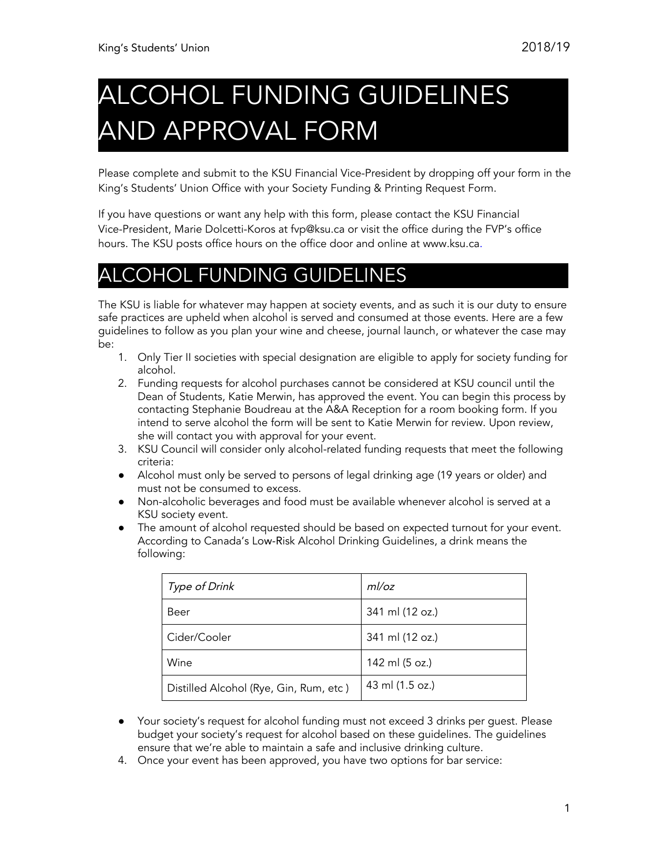## COHOL FUNDING GUIDELINES AND APPROVAL FORM

Please complete and submit to the KSU Financial Vice-President by dropping off your form in the King's Students' Union Office with your Society Funding & Printing Request Form.

If you have questions or want any help with this form, please contact the KSU Financial Vice-President, Marie Dolcetti-Koros at fvp@ksu.ca or visit the office during the FVP's office hours. The KSU posts office hours on the office door and online at www.ksu.ca.

## **COHOL FUNDING GUIDELINES**

The KSU is liable for whatever may happen at society events, and as such it is our duty to ensure safe practices are upheld when alcohol is served and consumed at those events. Here are a few guidelines to follow as you plan your wine and cheese, journal launch, or whatever the case may be:

- 1. Only Tier II societies with special designation are eligible to apply for society funding for alcohol.
- 2. Funding requests for alcohol purchases cannot be considered at KSU council until the Dean of Students, Katie Merwin, has approved the event. You can begin this process by contacting Stephanie Boudreau at the A&A Reception for a room booking form. If you intend to serve alcohol the form will be sent to Katie Merwin for review. Upon review, she will contact you with approval for your event.
- 3. KSU Council will consider only alcohol-related funding requests that meet the following criteria:
- Alcohol must only be served to persons of legal drinking age (19 years or older) and must not be consumed to excess.
- Non-alcoholic beverages and food must be available whenever alcohol is served at a KSU society event.
- The amount of alcohol requested should be based on expected turnout for your event. According to Canada's Low-Risk Alcohol Drinking Guidelines, a drink means the following:

| Type of Drink                          | ml/oz           |
|----------------------------------------|-----------------|
| Beer                                   | 341 ml (12 oz.) |
| Cider/Cooler                           | 341 ml (12 oz.) |
| Wine                                   | 142 ml (5 oz.)  |
| Distilled Alcohol (Rye, Gin, Rum, etc) | 43 ml (1.5 oz.) |

- Your society's request for alcohol funding must not exceed 3 drinks per guest. Please budget your society's request for alcohol based on these guidelines. The guidelines ensure that we're able to maintain a safe and inclusive drinking culture.
- 4. Once your event has been approved, you have two options for bar service: